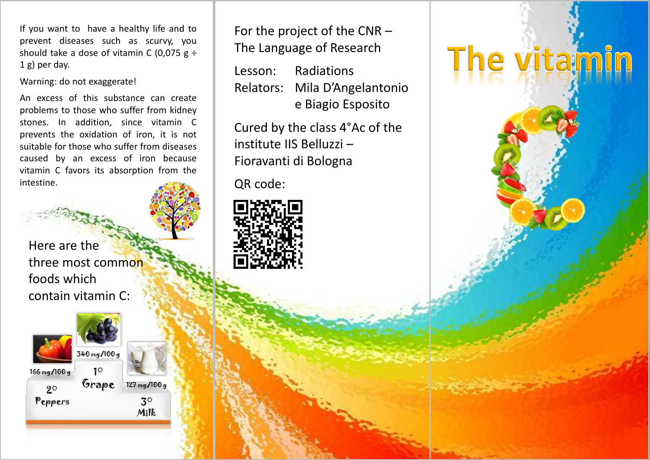If you want to have a healthy life and to prevent diseases such as scurvy, you should take a dose of vitamin C (0,075  $g \div$ 1 g) per day.

Warning: do not exaggerate!

An excess of this substance can create problems to those who suffer from kidney stones. In addition, since vitamin C prevents the oxidation of iron, it is not suitable for those who suffer from diseases caused by an excess of iron because vitamin C favors its absorption from the intestine.

Here are the three most common foods which contain vitamin C:



Milk 127 mg/100 g For the project of the CNR – The Language of Research

Lesson: Radiations Relators: Mila D'Angelantonio e Biagio Esposito

The vitami

Cured by the class 4°Ac of the institute IIS Belluzzi – Fioravanti di Bologna

QR code: